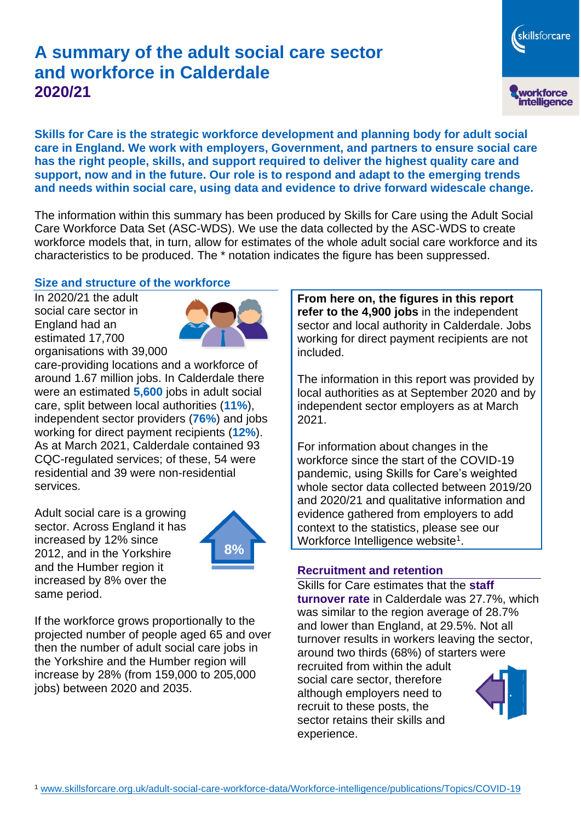# **A summary of the adult social care sector and workforce in Calderdale 2020/21**

workforce<br>intelligence **Skills for Care is the strategic workforce development and planning body for adult social care in England. We work with employers, Government, and partners to ensure social care has the right people, skills, and support required to deliver the highest quality care and support, now and in the future. Our role is to respond and adapt to the emerging trends and needs within social care, using data and evidence to drive forward widescale change.**

The information within this summary has been produced by Skills for Care using the Adult Social Care Workforce Data Set (ASC-WDS). We use the data collected by the ASC-WDS to create workforce models that, in turn, allow for estimates of the whole adult social care workforce and its characteristics to be produced. The \* notation indicates the figure has been suppressed.

#### **Size and structure of the workforce**

In 2020/21 the adult social care sector in England had an estimated 17,700 organisations with 39,000



care-providing locations and a workforce of around 1.67 million jobs. In Calderdale there were an estimated **5,600** jobs in adult social care, split between local authorities (**11%**), independent sector providers (**76%**) and jobs working for direct payment recipients (**12%**). As at March 2021, Calderdale contained 93 CQC-regulated services; of these, 54 were residential and 39 were non-residential services.

Adult social care is a growing sector. Across England it has increased by 12% since 2012, and in the Yorkshire and the Humber region it increased by 8% over the same period.



If the workforce grows proportionally to the projected number of people aged 65 and over then the number of adult social care jobs in the Yorkshire and the Humber region will increase by 28% (from 159,000 to 205,000 jobs) between 2020 and 2035.

**From here on, the figures in this report refer to the 4,900 jobs** in the independent sector and local authority in Calderdale. Jobs working for direct payment recipients are not included.

skillsforcare

The information in this report was provided by local authorities as at September 2020 and by independent sector employers as at March 2021.

For information about changes in the workforce since the start of the COVID-19 pandemic, using Skills for Care's weighted whole sector data collected between 2019/20 and 2020/21 and qualitative information and evidence gathered from employers to add context to the statistics, please see our Workforce Intelligence website<sup>1</sup>.

#### **Recruitment and retention**

Skills for Care estimates that the **staff turnover rate** in Calderdale was 27.7%, which was similar to the region average of 28.7% and lower than England, at 29.5%. Not all turnover results in workers leaving the sector, around two thirds (68%) of starters were recruited from within the adult social care sector, therefore although employers need to recruit to these posts, the sector retains their skills and experience.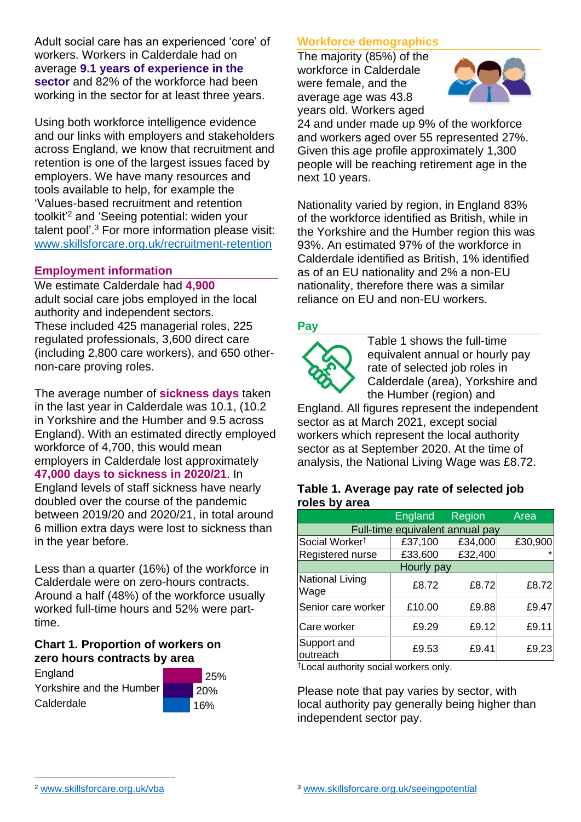Adult social care has an experienced 'core' of workers. Workers in Calderdale had on average **9.1 years of experience in the sector** and 82% of the workforce had been working in the sector for at least three years.

Using both workforce intelligence evidence and our links with employers and stakeholders across England, we know that recruitment and retention is one of the largest issues faced by employers. We have many resources and tools available to help, for example the 'Values-based recruitment and retention toolkit'<sup>2</sup> and 'Seeing potential: widen your talent pool'. <sup>3</sup> For more information please visit: [www.skillsforcare.org.uk/recruitment-retention](http://www.skillsforcare.org.uk/recruitment-retention)

#### **Employment information**

We estimate Calderdale had **4,900** adult social care jobs employed in the local authority and independent sectors. These included 425 managerial roles, 225 regulated professionals, 3,600 direct care (including 2,800 care workers), and 650 othernon-care proving roles.

The average number of **sickness days** taken in the last year in Calderdale was 10.1, (10.2 in Yorkshire and the Humber and 9.5 across England). With an estimated directly employed workforce of 4,700, this would mean employers in Calderdale lost approximately **47,000 days to sickness in 2020/21**. In England levels of staff sickness have nearly doubled over the course of the pandemic between 2019/20 and 2020/21, in total around 6 million extra days were lost to sickness than in the year before.

Less than a quarter (16%) of the workforce in Calderdale were on zero-hours contracts. Around a half (48%) of the workforce usually worked full-time hours and 52% were parttime.

#### **Chart 1. Proportion of workers on zero hours contracts by area**

**England** Yorkshire and the Humber Calderdale

 25% 20% 16%

# **Workforce demographics**

The majority (85%) of the workforce in Calderdale were female, and the average age was 43.8 years old. Workers aged



24 and under made up 9% of the workforce and workers aged over 55 represented 27%. Given this age profile approximately 1,300 people will be reaching retirement age in the next 10 years.

Nationality varied by region, in England 83% of the workforce identified as British, while in the Yorkshire and the Humber region this was 93%. An estimated 97% of the workforce in Calderdale identified as British, 1% identified as of an EU nationality and 2% a non-EU nationality, therefore there was a similar reliance on EU and non-EU workers.

# **Pay**



Table 1 shows the full-time equivalent annual or hourly pay rate of selected job roles in Calderdale (area), Yorkshire and the Humber (region) and

England. All figures represent the independent sector as at March 2021, except social workers which represent the local authority sector as at September 2020. At the time of analysis, the National Living Wage was £8.72.

#### **Table 1. Average pay rate of selected job roles by area**

|                                 | England | Region  | Area    |
|---------------------------------|---------|---------|---------|
| Full-time equivalent annual pay |         |         |         |
| Social Worker <sup>†</sup>      | £37,100 | £34,000 | £30,900 |
| Registered nurse                | £33,600 | £32,400 |         |
| Hourly pay                      |         |         |         |
| National Living<br>Wage         | £8.72   | £8.72   | £8.72   |
| Senior care worker              | £10.00  | £9.88   | £9.47   |
| Care worker                     | £9.29   | £9.12   | £9.11   |
| Support and<br>outreach         | £9.53   | £9.41   | £9.23   |

†Local authority social workers only.

Please note that pay varies by sector, with local authority pay generally being higher than independent sector pay.

[www.skillsforcare.org.uk/vba](http://www.skillsforcare.org.uk/vba)